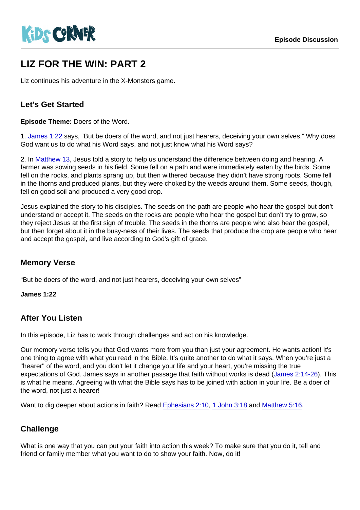# LIZ FOR THE WIN: PART 2

Liz continues his adventure in the X-Monsters game.

#### Let's Get Started

Episode Theme: Doers of the Word.

1. [James 1:22](https://www.biblegateway.com/passage/?search=James+1:22) says, "But be doers of the word, and not just hearers, deceiving your own selves." Why does God want us to do what his Word says, and not just know what his Word says?

2. In [Matthew 13](https://www.biblegateway.com/passage/?search=Matthew+13), Jesus told a story to help us understand the difference between doing and hearing. A farmer was sowing seeds in his field. Some fell on a path and were immediately eaten by the birds. Some fell on the rocks, and plants sprang up, but then withered because they didn't have strong roots. Some fell in the thorns and produced plants, but they were choked by the weeds around them. Some seeds, though, fell on good soil and produced a very good crop.

Jesus explained the story to his disciples. The seeds on the path are people who hear the gospel but don't understand or accept it. The seeds on the rocks are people who hear the gospel but don't try to grow, so they reject Jesus at the first sign of trouble. The seeds in the thorns are people who also hear the gospel, but then forget about it in the busy-ness of their lives. The seeds that produce the crop are people who hear and accept the gospel, and live according to God's gift of grace.

#### Memory Verse

"But be doers of the word, and not just hearers, deceiving your own selves"

James 1:22

#### After You Listen

In this episode, Liz has to work through challenges and act on his knowledge.

Our memory verse tells you that God wants more from you than just your agreement. He wants action! It's one thing to agree with what you read in the Bible. It's quite another to do what it says. When you're just a "hearer" of the word, and you don't let it change your life and your heart, you're missing the true expectations of God. James says in another passage that faith without works is dead ([James 2:14-26\)](https://www.biblegateway.com/passage/?search=James+2:14-26). This is what he means. Agreeing with what the Bible says has to be joined with action in your life. Be a doer of the word, not just a hearer!

Want to dig deeper about actions in faith? Read [Ephesians 2:10](https://www.biblegateway.com/passage/?search=Ephesians+2:10), [1 John 3:18](https://www.biblegateway.com/passage/?search=1+John+3:18) and [Matthew 5:16](https://www.biblegateway.com/passage/?search=Matthew+5:16).

### **Challenge**

What is one way that you can put your faith into action this week? To make sure that you do it, tell and friend or family member what you want to do to show your faith. Now, do it!